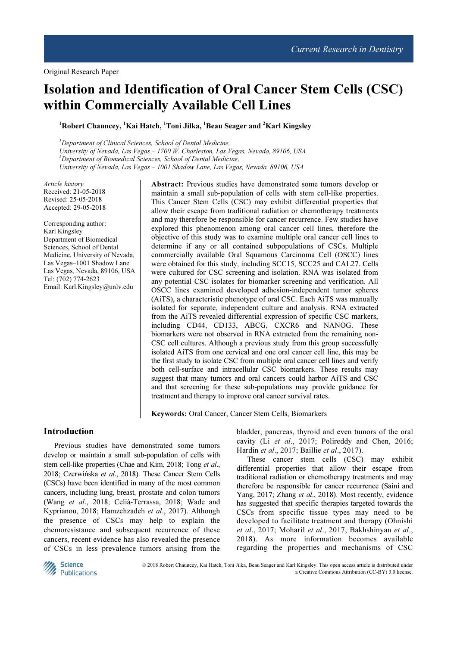# Isolation and Identification of Oral Cancer Stem Cells (CSC) within Commercially Available Cell Lines

<sup>1</sup>Robert Chauncey, <sup>1</sup>Kai Hatch, <sup>1</sup>Toni Jilka, <sup>1</sup>Beau Seager and <sup>2</sup>Karl Kingsley

 $<sup>1</sup>$ Department of Clinical Sciences, School of Dental Medicine,</sup> University of Nevada, Las Vegas – 1700 W. Charleston, Las Vegas, Nevada, 89106, USA  $2$ Department of Biomedical Sciences, School of Dental Medicine, University of Nevada, Las Vegas – 1001 Shadow Lane, Las Vegas, Nevada, 89106, USA

Article history Received: 21-05-2018 Revised: 25-05-2018 Accepted: 29-05-2018

Corresponding author: Karl Kingsley Department of Biomedical Sciences, School of Dental Medicine, University of Nevada, Las Vegas–1001 Shadow Lane Las Vegas, Nevada, 89106, USA Tel: (702) 774-2623 Email: Karl.Kingsley@unlv.edu

Abstract: Previous studies have demonstrated some tumors develop or maintain a small sub-population of cells with stem cell-like properties. This Cancer Stem Cells (CSC) may exhibit differential properties that allow their escape from traditional radiation or chemotherapy treatments and may therefore be responsible for cancer recurrence. Few studies have explored this phenomenon among oral cancer cell lines, therefore the objective of this study was to examine multiple oral cancer cell lines to determine if any or all contained subpopulations of CSCs. Multiple commercially available Oral Squamous Carcinoma Cell (OSCC) lines were obtained for this study, including SCC15, SCC25 and CAL27. Cells were cultured for CSC screening and isolation. RNA was isolated from any potential CSC isolates for biomarker screening and verification. All OSCC lines examined developed adhesion-independent tumor spheres (AiTS), a characteristic phenotype of oral CSC. Each AiTS was manually isolated for separate, independent culture and analysis. RNA extracted from the AiTS revealed differential expression of specific CSC markers, including CD44, CD133, ABCG, CXCR6 and NANOG. These biomarkers were not observed in RNA extracted from the remaining non-CSC cell cultures. Although a previous study from this group successfully isolated AiTS from one cervical and one oral cancer cell line, this may be the first study to isolate CSC from multiple oral cancer cell lines and verify both cell-surface and intracellular CSC biomarkers. These results may suggest that many tumors and oral cancers could harbor AiTS and CSC and that screening for these sub-populations may provide guidance for treatment and therapy to improve oral cancer survival rates.

Keywords: Oral Cancer, Cancer Stem Cells, Biomarkers

# Introduction

Previous studies have demonstrated some tumors develop or maintain a small sub-population of cells with stem cell-like properties (Chae and Kim, 2018; Tong et al., 2018; Czerwińska et al., 2018). These Cancer Stem Cells (CSCs) have been identified in many of the most common cancers, including lung, breast, prostate and colon tumors (Wang et al., 2018; Celià-Terrassa, 2018; Wade and Kyprianou, 2018; Hamzehzadeh et al., 2017). Although the presence of CSCs may help to explain the chemoresistance and subsequent recurrence of these cancers, recent evidence has also revealed the presence of CSCs in less prevalence tumors arising from the

bladder, pancreas, thyroid and even tumors of the oral cavity (Li et al., 2017; Polireddy and Chen, 2016; Hardin et al., 2017; Baillie et al., 2017).

These cancer stem cells (CSC) may exhibit differential properties that allow their escape from traditional radiation or chemotherapy treatments and may therefore be responsible for cancer recurrence (Saini and Yang, 2017; Zhang et al., 2018). Most recently, evidence has suggested that specific therapies targeted towards the CSCs from specific tissue types may need to be developed to facilitate treatment and therapy (Ohnishi et al., 2017; Moharil et al., 2017; Bakhshinyan et al., 2018). As more information becomes available regarding the properties and mechanisms of CSC



© 2018 Robert Chauncey, Kai Hatch, Toni Jilka, Beau Seager and Karl Kingsley. This open access article is distributed under a Creative Commons Attribution (CC-BY) 3.0 license.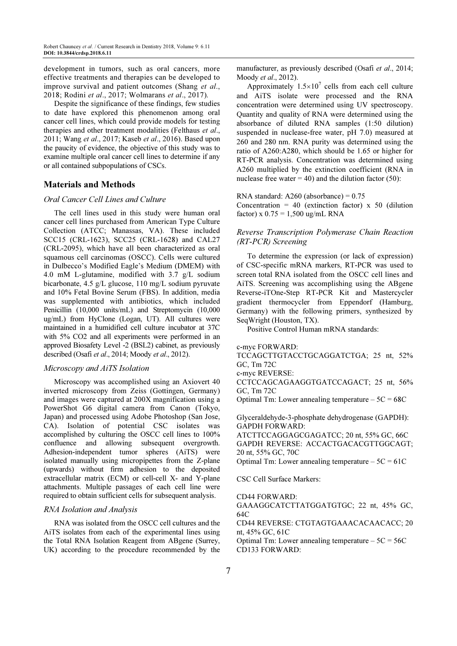development in tumors, such as oral cancers, more effective treatments and therapies can be developed to improve survival and patient outcomes (Shang et al., 2018; Rodini et al., 2017; Wolmarans et al., 2017).

Despite the significance of these findings, few studies to date have explored this phenomenon among oral cancer cell lines, which could provide models for testing therapies and other treatment modalities (Felthaus et al., 2011; Wang et al., 2017; Kaseb et al., 2016). Based upon the paucity of evidence, the objective of this study was to examine multiple oral cancer cell lines to determine if any or all contained subpopulations of CSCs.

# Materials and Methods

## Oral Cancer Cell Lines and Culture

The cell lines used in this study were human oral cancer cell lines purchased from American Type Culture Collection (ATCC; Manassas, VA). These included SCC15 (CRL-1623), SCC25 (CRL-1628) and CAL27 (CRL-2095), which have all been characterized as oral squamous cell carcinomas (OSCC). Cells were cultured in Dulbecco's Modified Eagle's Medium (DMEM) with 4.0 mM L-glutamine, modified with 3.7 g/L sodium bicarbonate, 4.5 g/L glucose, 110 mg/L sodium pyruvate and 10% Fetal Bovine Serum (FBS). In addition, media was supplemented with antibiotics, which included Penicillin (10,000 units/mL) and Streptomycin (10,000 ug/mL) from HyClone (Logan, UT). All cultures were maintained in a humidified cell culture incubator at 37C with 5% CO2 and all experiments were performed in an approved Biosafety Level -2 (BSL2) cabinet, as previously described (Osafi et al., 2014; Moody et al., 2012).

# Microscopy and AiTS Isolation

Microscopy was accomplished using an Axiovert 40 inverted microscopy from Zeiss (Gottingen, Germany) and images were captured at 200X magnification using a PowerShot G6 digital camera from Canon (Tokyo, Japan) and processed using Adobe Photoshop (San Jose, CA). Isolation of potential CSC isolates was accomplished by culturing the OSCC cell lines to 100% confluence and allowing subsequent overgrowth. Adhesion-independent tumor spheres (AiTS) were isolated manually using micropipettes from the Z-plane (upwards) without firm adhesion to the deposited extracellular matrix (ECM) or cell-cell X- and Y-plane attachments. Multiple passages of each cell line were required to obtain sufficient cells for subsequent analysis.

#### RNA Isolation and Analysis

RNA was isolated from the OSCC cell cultures and the AiTS isolates from each of the experimental lines using the Total RNA Isolation Reagent from ABgene (Surrey, UK) according to the procedure recommended by the manufacturer, as previously described (Osafi et al., 2014; Moody et al., 2012).

Approximately  $1.5 \times 10^7$  cells from each cell culture and AiTS isolate were processed and the RNA concentration were determined using UV spectroscopy. Quantity and quality of RNA were determined using the absorbance of diluted RNA samples (1:50 dilution) suspended in nuclease-free water, pH 7.0) measured at 260 and 280 nm. RNA purity was determined using the ratio of A260:A280, which should be 1.65 or higher for RT-PCR analysis. Concentration was determined using A260 multiplied by the extinction coefficient (RNA in nuclease free water  $= 40$ ) and the dilution factor (50):

RNA standard: A260 (absorbance) = 0.75 Concentration = 40 (extinction factor)  $x$  50 (dilution factor) x  $0.75 = 1,500$  ug/mL RNA

# Reverse Transcription Polymerase Chain Reaction (RT-PCR) Screening

To determine the expression (or lack of expression) of CSC-specific mRNA markers, RT-PCR was used to screen total RNA isolated from the OSCC cell lines and AiTS. Screening was accomplishing using the ABgene Reverse-iTOne-Step RT-PCR Kit and Mastercycler gradient thermocycler from Eppendorf (Hamburg, Germany) with the following primers, synthesized by SeqWright (Houston, TX).

Positive Control Human mRNA standards:

```
c-myc FORWARD:
```
TCCAGCTTGTACCTGCAGGATCTGA; 25 nt, 52% GC, Tm 72C

c-myc REVERSE:

CCTCCAGCAGAAGGTGATCCAGACT; 25 nt, 56% GC, Tm 72C

Optimal Tm: Lower annealing temperature  $-5C = 68C$ 

Glyceraldehyde-3-phosphate dehydrogenase (GAPDH): GAPDH FORWARD:

ATCTTCCAGGAGCGAGATCC; 20 nt, 55% GC, 66C GAPDH REVERSE: ACCACTGACACGTTGGCAGT; 20 nt, 55% GC, 70C

Optimal Tm: Lower annealing temperature  $-5C = 61C$ 

CSC Cell Surface Markers:

CD44 FORWARD:

GAAAGGCATCTTATGGATGTGC; 22 nt, 45% GC, 64C

CD44 REVERSE: CTGTAGTGAAACACAACACC; 20 nt, 45% GC, 61C

Optimal Tm: Lower annealing temperature  $-5C = 56C$ CD133 FORWARD: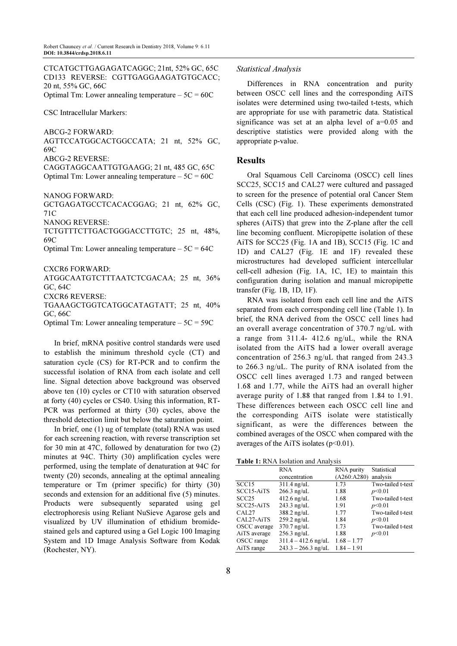CTCATGCTTGAGAGATCAGGC; 21nt, 52% GC, 65C CD133 REVERSE: CGTTGAGGAAGATGTGCACC; 20 nt, 55% GC, 66C

Optimal Tm: Lower annealing temperature  $-5C = 60C$ 

CSC Intracellular Markers:

ABCG-2 FORWARD:

AGTTCCATGGCACTGGCCATA; 21 nt, 52% GC, 69C

ABCG-2 REVERSE:

CAGGTAGGCAATTGTGAAGG; 21 nt, 485 GC, 65C Optimal Tm: Lower annealing temperature  $-5C = 60C$ 

NANOG FORWARD:

GCTGAGATGCCTCACACGGAG; 21 nt, 62% GC, 71C

NANOG REVERSE:

TCTGTTTCTTGACTGGGACCTTGTC; 25 nt, 48%, 69C

Optimal Tm: Lower annealing temperature  $-5C = 64C$ 

CXCR6 FORWARD:

ATGGCAATGTCTTTAATCTCGACAA; 25 nt, 36% GC, 64C CXCR6 REVERSE:

TGAAAGCTGGTCATGGCATAGTATT; 25 nt, 40% GC, 66C

Optimal Tm: Lower annealing temperature  $-5C = 59C$ 

In brief, mRNA positive control standards were used to establish the minimum threshold cycle (CT) and saturation cycle (CS) for RT-PCR and to confirm the successful isolation of RNA from each isolate and cell line. Signal detection above background was observed above ten (10) cycles or CT10 with saturation observed at forty (40) cycles or CS40. Using this information, RT-PCR was performed at thirty (30) cycles, above the threshold detection limit but below the saturation point.

In brief, one (1) ug of template (total) RNA was used for each screening reaction, with reverse transcription set for 30 min at 47C, followed by denaturation for two (2) minutes at 94C. Thirty (30) amplification cycles were performed, using the template of denaturation at 94C for twenty (20) seconds, annealing at the optimal annealing temperature or Tm (primer specific) for thirty (30) seconds and extension for an additional five (5) minutes. Products were subsequently separated using gel electrophoresis using Reliant NuSieve Agarose gels and visualized by UV illumination of ethidium bromidestained gels and captured using a Gel Logic 100 Imaging System and 1D Image Analysis Software from Kodak (Rochester, NY).

## Statistical Analysis

Differences in RNA concentration and purity between OSCC cell lines and the corresponding AiTS isolates were determined using two-tailed t-tests, which are appropriate for use with parametric data. Statistical significance was set at an alpha level of a=0.05 and descriptive statistics were provided along with the appropriate p-value.

## Results

Oral Squamous Cell Carcinoma (OSCC) cell lines SCC25, SCC15 and CAL27 were cultured and passaged to screen for the presence of potential oral Cancer Stem Cells (CSC) (Fig. 1). These experiments demonstrated that each cell line produced adhesion-independent tumor spheres (AiTS) that grew into the Z-plane after the cell line becoming confluent. Micropipette isolation of these AiTS for SCC25 (Fig. 1A and 1B), SCC15 (Fig. 1C and 1D) and CAL27 (Fig. 1E and 1F) revealed these microstructures had developed sufficient intercellular cell-cell adhesion (Fig. 1A, 1C, 1E) to maintain this configuration during isolation and manual micropipette transfer (Fig. 1B, 1D, 1F).

RNA was isolated from each cell line and the AiTS separated from each corresponding cell line (Table 1). In brief, the RNA derived from the OSCC cell lines had an overall average concentration of 370.7 ng/uL with a range from 311.4- 412.6 ng/uL, while the RNA isolated from the AiTS had a lower overall average concentration of 256.3 ng/uL that ranged from 243.3 to 266.3 ng/uL. The purity of RNA isolated from the OSCC cell lines averaged 1.73 and ranged between 1.68 and 1.77, while the AiTS had an overall higher average purity of 1.88 that ranged from 1.84 to 1.91. These differences between each OSCC cell line and the corresponding AiTS isolate were statistically significant, as were the differences between the combined averages of the OSCC when compared with the averages of the AiTS isolates  $(p<0.01)$ .

Table 1: RNA Isolation and Analysis

|                                      | <b>RNA</b>            | RNA purity    | Statistical       |
|--------------------------------------|-----------------------|---------------|-------------------|
|                                      | concentration         | (A260:A280)   | analysis          |
| SCC15                                | $311.4$ ng/uL         | 1.73          | Two-tailed t-test |
| SCC15-AiTS                           | $266.3$ ng/uL         | 1.88          | p<0.01            |
| SCC25                                | $412.6$ ng/uL         | 1.68          | Two-tailed t-test |
| SCC <sub>25</sub> -A <sub>i</sub> TS | 243.3 ng/uL           | 1.91          | p<0.01            |
| CAL <sub>27</sub>                    | 388.2 ng/uL           | 1.77          | Two-tailed t-test |
| CAL27-AiTS                           | $259.2$ ng/uL         | 1.84          | p<0.01            |
| OSCC average                         | 370.7 ng/uL           | 1.73          | Two-tailed t-test |
| AiTS average                         | $256.3$ ng/uL         | 1.88          | p<0.01            |
| OSCC range                           | $311.4 - 412.6$ ng/uL | $1.68 - 1.77$ |                   |
| AiTS range                           | $243.3 - 266.3$ ng/uL | $1.84 - 1.91$ |                   |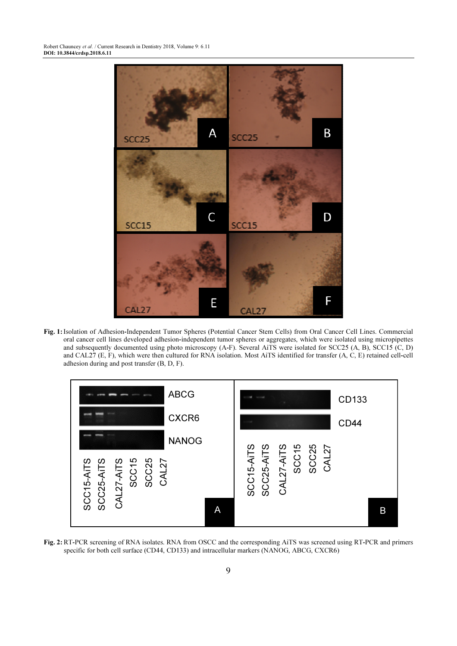

Fig. 1: Isolation of Adhesion-Independent Tumor Spheres (Potential Cancer Stem Cells) from Oral Cancer Cell Lines. Commercial oral cancer cell lines developed adhesion-independent tumor spheres or aggregates, which were isolated using micropipettes and subsequently documented using photo microscopy (A-F). Several AiTS were isolated for SCC25 (A, B), SCC15 (C, D) and CAL27 (E, F), which were then cultured for RNA isolation. Most AiTS identified for transfer (A, C, E) retained cell-cell adhesion during and post transfer (B, D, F).



Fig. 2: RT-PCR screening of RNA isolates. RNA from OSCC and the corresponding AiTS was screened using RT-PCR and primers specific for both cell surface (CD44, CD133) and intracellular markers (NANOG, ABCG, CXCR6)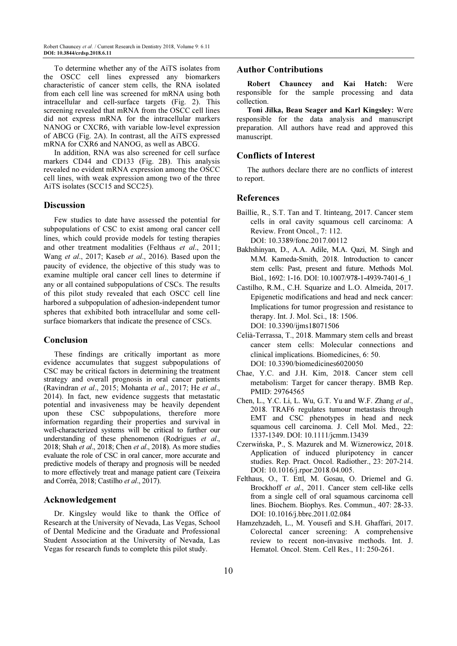To determine whether any of the AiTS isolates from the OSCC cell lines expressed any biomarkers characteristic of cancer stem cells, the RNA isolated from each cell line was screened for mRNA using both intracellular and cell-surface targets (Fig. 2). This screening revealed that mRNA from the OSCC cell lines did not express mRNA for the intracellular markers NANOG or CXCR6, with variable low-level expression of ABCG (Fig. 2A). In contrast, all the AiTS expressed mRNA for CXR6 and NANOG, as well as ABCG.

In addition, RNA was also screened for cell surface markers CD44 and CD133 (Fig. 2B). This analysis revealed no evident mRNA expression among the OSCC cell lines, with weak expression among two of the three AiTS isolates (SCC15 and SCC25).

#### Discussion

Few studies to date have assessed the potential for subpopulations of CSC to exist among oral cancer cell lines, which could provide models for testing therapies and other treatment modalities (Felthaus et al., 2011; Wang et al., 2017; Kaseb et al., 2016). Based upon the paucity of evidence, the objective of this study was to examine multiple oral cancer cell lines to determine if any or all contained subpopulations of CSCs. The results of this pilot study revealed that each OSCC cell line harbored a subpopulation of adhesion-independent tumor spheres that exhibited both intracellular and some cellsurface biomarkers that indicate the presence of CSCs.

#### Conclusion

These findings are critically important as more evidence accumulates that suggest subpopulations of CSC may be critical factors in determining the treatment strategy and overall prognosis in oral cancer patients (Ravindran et al., 2015; Mohanta et al., 2017; He et al., 2014). In fact, new evidence suggests that metastatic potential and invasiveness may be heavily dependent upon these CSC subpopulations, therefore more information regarding their properties and survival in well-characterized systems will be critical to further our understanding of these phenomenon (Rodrigues et al., 2018; Shah et al., 2018; Chen et al., 2018). As more studies evaluate the role of CSC in oral cancer, more accurate and predictive models of therapy and prognosis will be needed to more effectively treat and manage patient care (Teixeira and Corrêa, 2018; Castilho et al., 2017).

## Acknowledgement

Dr. Kingsley would like to thank the Office of Research at the University of Nevada, Las Vegas, School of Dental Medicine and the Graduate and Professional Student Association at the University of Nevada, Las Vegas for research funds to complete this pilot study.

## Author Contributions

Robert Chauncey and Kai Hatch: Were responsible for the sample processing and data collection.

Toni Jilka, Beau Seager and Karl Kingsley: Were responsible for the data analysis and manuscript preparation. All authors have read and approved this manuscript.

# Conflicts of Interest

The authors declare there are no conflicts of interest to report.

### References

- Baillie, R., S.T. Tan and T. Itinteang, 2017. Cancer stem cells in oral cavity squamous cell carcinoma: A Review. Front Oncol., 7: 112. DOI: 10.3389/fonc.2017.00112
- Bakhshinyan, D., A.A. Adile, M.A. Qazi, M. Singh and M.M. Kameda-Smith, 2018. Introduction to cancer stem cells: Past, present and future. Methods Mol. Biol., 1692: 1-16. DOI: 10.1007/978-1-4939-7401-6\_1
- Castilho, R.M., C.H. Squarize and L.O. Almeida, 2017. Epigenetic modifications and head and neck cancer: Implications for tumor progression and resistance to therapy. Int. J. Mol. Sci., 18: 1506. DOI: 10.3390/ijms18071506
- Celià-Terrassa, T., 2018. Mammary stem cells and breast cancer stem cells: Molecular connections and clinical implications. Biomedicines, 6: 50. DOI: 10.3390/biomedicines6020050
- Chae, Y.C. and J.H. Kim, 2018. Cancer stem cell metabolism: Target for cancer therapy. BMB Rep. PMID: 29764565
- Chen, L., Y.C. Li, L. Wu, G.T. Yu and W.F. Zhang et al., 2018. TRAF6 regulates tumour metastasis through EMT and CSC phenotypes in head and neck squamous cell carcinoma. J. Cell Mol. Med., 22: 1337-1349. DOI: 10.1111/jcmm.13439
- Czerwińska, P., S. Mazurek and M. Wiznerowicz, 2018. Application of induced pluripotency in cancer studies. Rep. Pract. Oncol. Radiother., 23: 207-214. DOI: 10.1016/j.rpor.2018.04.005.
- Felthaus, O., T. Ettl, M. Gosau, O. Driemel and G. Brockhoff et al., 2011. Cancer stem cell-like cells from a single cell of oral squamous carcinoma cell lines. Biochem. Biophys. Res. Commun., 407: 28-33. DOI: 10.1016/j.bbrc.2011.02.084
- Hamzehzadeh, L., M. Yousefi and S.H. Ghaffari, 2017. Colorectal cancer screening: A comprehensive review to recent non-invasive methods. Int. J. Hematol. Oncol. Stem. Cell Res., 11: 250-261.